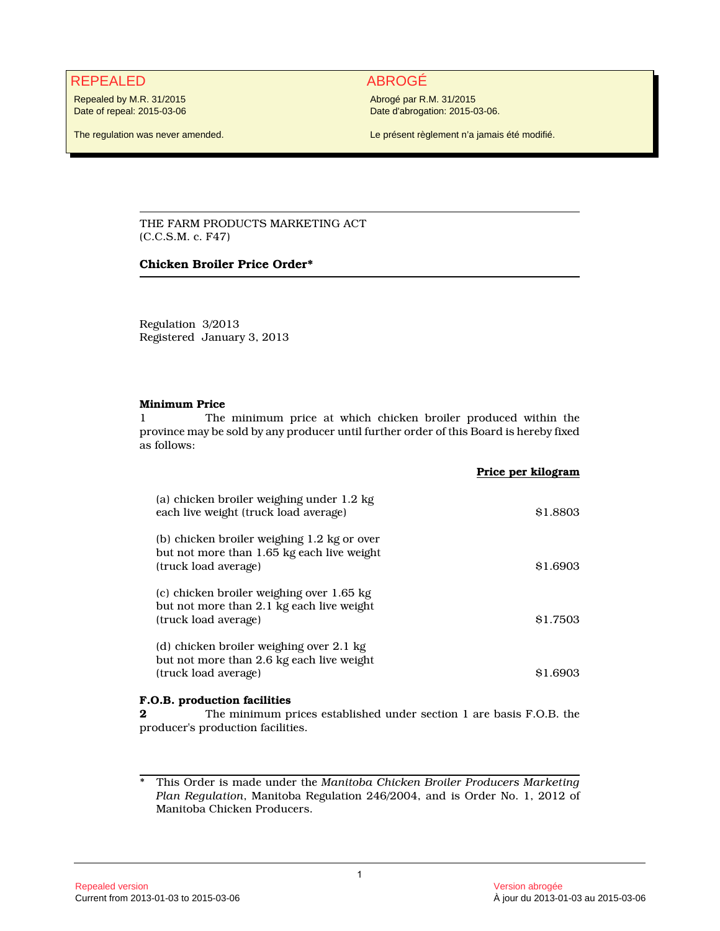## REPEALED ABROGÉ

Repealed by M.R. 31/2015 Date of repeal: 2015-03-06

The regulation was never amended.

Abrogé par R.M. 31/2015 Date d'abrogation: 2015-03-06.

Le présent règlement n'a jamais été modifié.

THE FARM PRODUCTS MARKETING ACT (C.C.S.M. c. F47)

### **Chicken Broiler Price Order\***

Regulation 3/2013 Registered January 3, 2013

### **Minimum Price**

1 The minimum price at which chicken broiler produced within the province may be sold by any producer until further order of this Board is hereby fixed as follows:

|                                                                                                                   | Price per kilogram  |
|-------------------------------------------------------------------------------------------------------------------|---------------------|
| (a) chicken broiler weighing under 1.2 kg<br>each live weight (truck load average)                                | \$1,8803            |
| (b) chicken broiler weighing 1.2 kg or over<br>but not more than 1.65 kg each live weight<br>(truck load average) | S <sub>1.6903</sub> |
| (c) chicken broiler weighing over 1.65 kg<br>but not more than 2.1 kg each live weight<br>(truck load average)    | \$1.7503            |
| (d) chicken broiler weighing over 2.1 kg<br>but not more than 2.6 kg each live weight<br>(truck load average)     | 81.6903             |

### **F.O.B. production facilities**

**2** The minimum prices established under section 1 are basis F.O.B. the producer's production facilities.

\* This Order is made under the *Manitoba Chicken Broiler Producers Marketing Plan Regulation*, Manitoba Regulation 246/2004, and is Order No. 1, 2012 of Manitoba Chicken Producers.